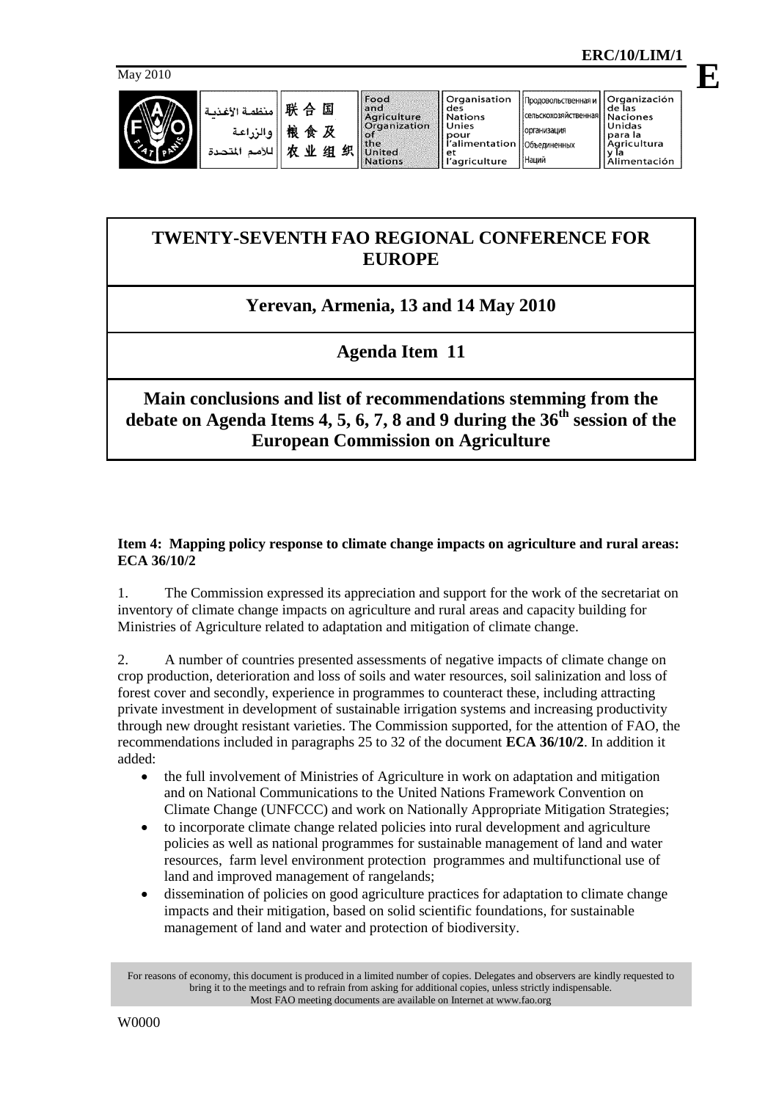

| 联合国    منظمة الأغذيا<br>   والزراعة  <br>   لادمم المتحدة       لادمم المتحدة |
|-------------------------------------------------------------------------------|
|                                                                               |
|                                                                               |
|                                                                               |

Organisation

Наций

# **TWENTY-SEVENTH FAO REGIONAL CONFERENCE FOR EUROPE**

## **Yerevan, Armenia, 13 and 14 May 2010**

# **Agenda Item 11**

## **Main conclusions and list of recommendations stemming from the debate on Agenda Items 4, 5, 6, 7, 8 and 9 during the 36th session of the European Commission on Agriculture**

### **Item 4: Mapping policy response to climate change impacts on agriculture and rural areas: ECA 36/10/2**

1. The Commission expressed its appreciation and support for the work of the secretariat on inventory of climate change impacts on agriculture and rural areas and capacity building for Ministries of Agriculture related to adaptation and mitigation of climate change.

2. A number of countries presented assessments of negative impacts of climate change on crop production, deterioration and loss of soils and water resources, soil salinization and loss of forest cover and secondly, experience in programmes to counteract these, including attracting private investment in development of sustainable irrigation systems and increasing productivity through new drought resistant varieties. The Commission supported, for the attention of FAO, the recommendations included in paragraphs 25 to 32 of the document **ECA 36/10/2**. In addition it added:

- the full involvement of Ministries of Agriculture in work on adaptation and mitigation and on National Communications to the United Nations Framework Convention on Climate Change (UNFCCC) and work on Nationally Appropriate Mitigation Strategies;
- to incorporate climate change related policies into rural development and agriculture policies as well as national programmes for sustainable management of land and water resources, farm level environment protection programmes and multifunctional use of land and improved management of rangelands;
- dissemination of policies on good agriculture practices for adaptation to climate change impacts and their mitigation, based on solid scientific foundations, for sustainable management of land and water and protection of biodiversity.

For reasons of economy, this document is produced in a limited number of copies. Delegates and observers are kindly requested to bring it to the meetings and to refrain from asking for additional copies, unless strictly indispensable. Most FAO meeting documents are available on Internet at www.fao.org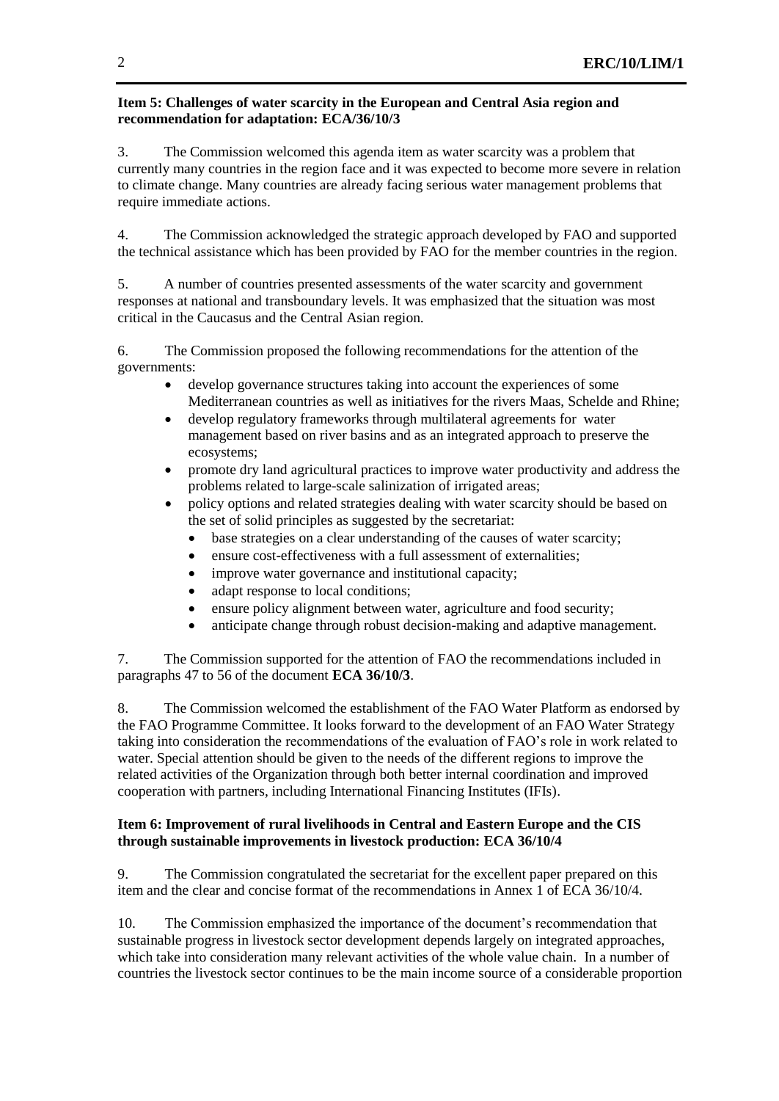#### **Item 5: Challenges of water scarcity in the European and Central Asia region and recommendation for adaptation: ECA/36/10/3**

3. The Commission welcomed this agenda item as water scarcity was a problem that currently many countries in the region face and it was expected to become more severe in relation to climate change. Many countries are already facing serious water management problems that require immediate actions.

4. The Commission acknowledged the strategic approach developed by FAO and supported the technical assistance which has been provided by FAO for the member countries in the region.

5. A number of countries presented assessments of the water scarcity and government responses at national and transboundary levels. It was emphasized that the situation was most critical in the Caucasus and the Central Asian region.

6. The Commission proposed the following recommendations for the attention of the governments:

- develop governance structures taking into account the experiences of some Mediterranean countries as well as initiatives for the rivers Maas, Schelde and Rhine;
- develop regulatory frameworks through multilateral agreements for water management based on river basins and as an integrated approach to preserve the ecosystems;
- promote dry land agricultural practices to improve water productivity and address the problems related to large-scale salinization of irrigated areas;
- policy options and related strategies dealing with water scarcity should be based on the set of solid principles as suggested by the secretariat:
	- base strategies on a clear understanding of the causes of water scarcity;
	- ensure cost-effectiveness with a full assessment of externalities;
	- improve water governance and institutional capacity;
	- adapt response to local conditions;
	- ensure policy alignment between water, agriculture and food security;
	- anticipate change through robust decision-making and adaptive management.

7. The Commission supported for the attention of FAO the recommendations included in paragraphs 47 to 56 of the document **ECA 36/10/3**.

8. The Commission welcomed the establishment of the FAO Water Platform as endorsed by the FAO Programme Committee. It looks forward to the development of an FAO Water Strategy taking into consideration the recommendations of the evaluation of FAO's role in work related to water. Special attention should be given to the needs of the different regions to improve the related activities of the Organization through both better internal coordination and improved cooperation with partners, including International Financing Institutes (IFIs).

#### **Item 6: Improvement of rural livelihoods in Central and Eastern Europe and the CIS through sustainable improvements in livestock production: ECA 36/10/4**

9. The Commission congratulated the secretariat for the excellent paper prepared on this item and the clear and concise format of the recommendations in Annex 1 of ECA 36/10/4.

10. The Commission emphasized the importance of the document's recommendation that sustainable progress in livestock sector development depends largely on integrated approaches, which take into consideration many relevant activities of the whole value chain. In a number of countries the livestock sector continues to be the main income source of a considerable proportion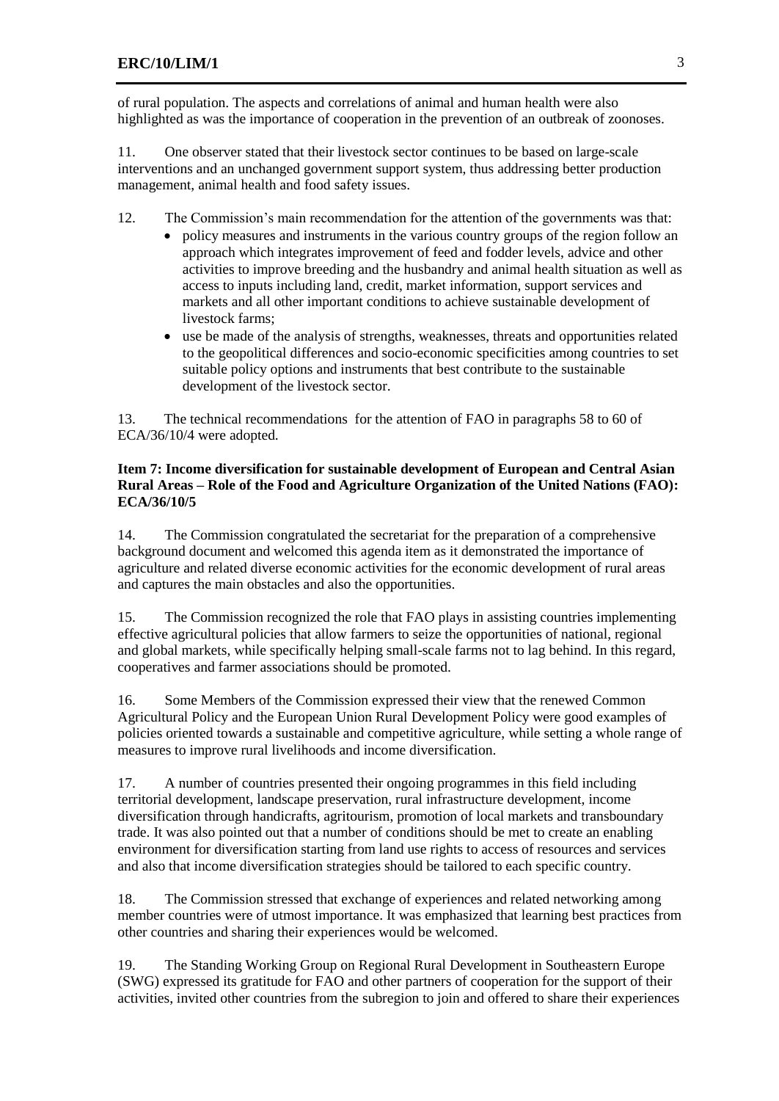of rural population. The aspects and correlations of animal and human health were also highlighted as was the importance of cooperation in the prevention of an outbreak of zoonoses.

11. One observer stated that their livestock sector continues to be based on large-scale interventions and an unchanged government support system, thus addressing better production management, animal health and food safety issues.

- 12. The Commission's main recommendation for the attention of the governments was that:
	- policy measures and instruments in the various country groups of the region follow an approach which integrates improvement of feed and fodder levels, advice and other activities to improve breeding and the husbandry and animal health situation as well as access to inputs including land, credit, market information, support services and markets and all other important conditions to achieve sustainable development of livestock farms;
	- use be made of the analysis of strengths, weaknesses, threats and opportunities related to the geopolitical differences and socio-economic specificities among countries to set suitable policy options and instruments that best contribute to the sustainable development of the livestock sector.

13. The technical recommendations for the attention of FAO in paragraphs 58 to 60 of ECA/36/10/4 were adopted.

#### **Item 7: Income diversification for sustainable development of European and Central Asian Rural Areas – Role of the Food and Agriculture Organization of the United Nations (FAO): ECA/36/10/5**

14. The Commission congratulated the secretariat for the preparation of a comprehensive background document and welcomed this agenda item as it demonstrated the importance of agriculture and related diverse economic activities for the economic development of rural areas and captures the main obstacles and also the opportunities.

15. The Commission recognized the role that FAO plays in assisting countries implementing effective agricultural policies that allow farmers to seize the opportunities of national, regional and global markets, while specifically helping small-scale farms not to lag behind. In this regard, cooperatives and farmer associations should be promoted.

16. Some Members of the Commission expressed their view that the renewed Common Agricultural Policy and the European Union Rural Development Policy were good examples of policies oriented towards a sustainable and competitive agriculture, while setting a whole range of measures to improve rural livelihoods and income diversification.

17. A number of countries presented their ongoing programmes in this field including territorial development, landscape preservation, rural infrastructure development, income diversification through handicrafts, agritourism, promotion of local markets and transboundary trade. It was also pointed out that a number of conditions should be met to create an enabling environment for diversification starting from land use rights to access of resources and services and also that income diversification strategies should be tailored to each specific country.

18. The Commission stressed that exchange of experiences and related networking among member countries were of utmost importance. It was emphasized that learning best practices from other countries and sharing their experiences would be welcomed.

19. The Standing Working Group on Regional Rural Development in Southeastern Europe (SWG) expressed its gratitude for FAO and other partners of cooperation for the support of their activities, invited other countries from the subregion to join and offered to share their experiences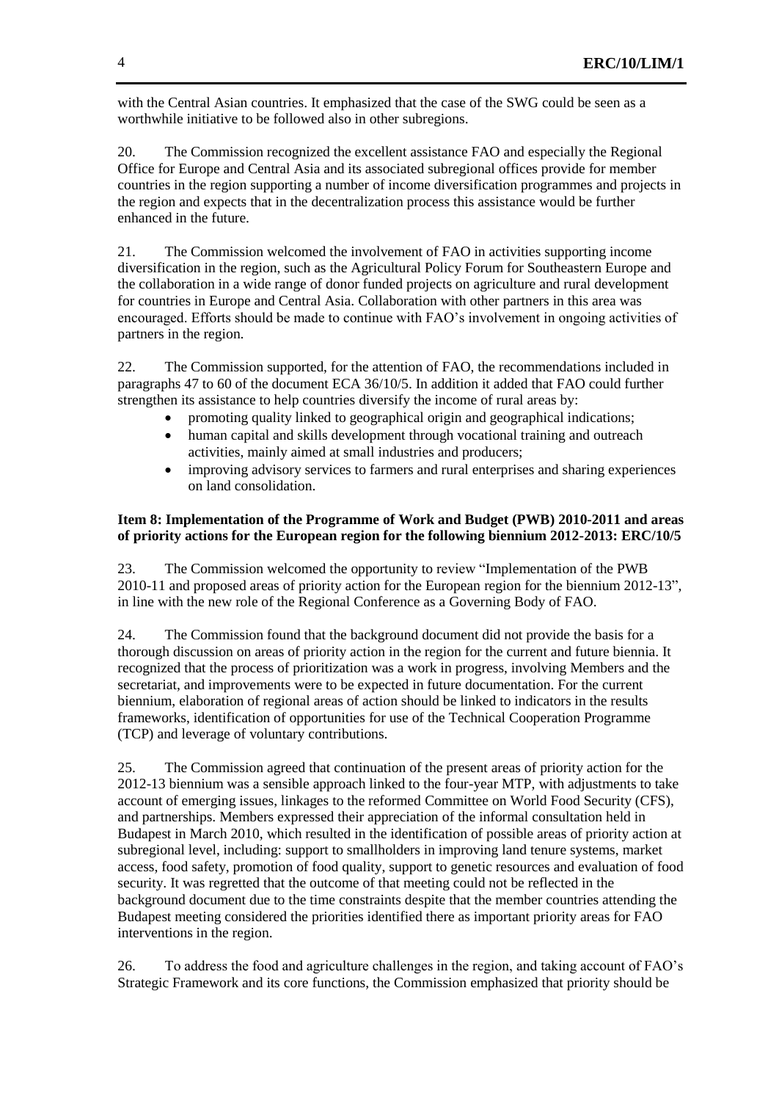with the Central Asian countries. It emphasized that the case of the SWG could be seen as a worthwhile initiative to be followed also in other subregions.

20. The Commission recognized the excellent assistance FAO and especially the Regional Office for Europe and Central Asia and its associated subregional offices provide for member countries in the region supporting a number of income diversification programmes and projects in the region and expects that in the decentralization process this assistance would be further enhanced in the future.

21. The Commission welcomed the involvement of FAO in activities supporting income diversification in the region, such as the Agricultural Policy Forum for Southeastern Europe and the collaboration in a wide range of donor funded projects on agriculture and rural development for countries in Europe and Central Asia. Collaboration with other partners in this area was encouraged. Efforts should be made to continue with FAO's involvement in ongoing activities of partners in the region.

22. The Commission supported, for the attention of FAO, the recommendations included in paragraphs 47 to 60 of the document ECA 36/10/5. In addition it added that FAO could further strengthen its assistance to help countries diversify the income of rural areas by:

- promoting quality linked to geographical origin and geographical indications;
- human capital and skills development through vocational training and outreach activities, mainly aimed at small industries and producers;
- improving advisory services to farmers and rural enterprises and sharing experiences on land consolidation.

#### **Item 8: Implementation of the Programme of Work and Budget (PWB) 2010-2011 and areas of priority actions for the European region for the following biennium 2012-2013: ERC/10/5**

23. The Commission welcomed the opportunity to review "Implementation of the PWB 2010-11 and proposed areas of priority action for the European region for the biennium 2012-13", in line with the new role of the Regional Conference as a Governing Body of FAO.

24. The Commission found that the background document did not provide the basis for a thorough discussion on areas of priority action in the region for the current and future biennia. It recognized that the process of prioritization was a work in progress, involving Members and the secretariat, and improvements were to be expected in future documentation. For the current biennium, elaboration of regional areas of action should be linked to indicators in the results frameworks, identification of opportunities for use of the Technical Cooperation Programme (TCP) and leverage of voluntary contributions.

25. The Commission agreed that continuation of the present areas of priority action for the 2012-13 biennium was a sensible approach linked to the four-year MTP, with adjustments to take account of emerging issues, linkages to the reformed Committee on World Food Security (CFS), and partnerships. Members expressed their appreciation of the informal consultation held in Budapest in March 2010, which resulted in the identification of possible areas of priority action at subregional level, including: support to smallholders in improving land tenure systems, market access, food safety, promotion of food quality, support to genetic resources and evaluation of food security. It was regretted that the outcome of that meeting could not be reflected in the background document due to the time constraints despite that the member countries attending the Budapest meeting considered the priorities identified there as important priority areas for FAO interventions in the region.

26. To address the food and agriculture challenges in the region, and taking account of FAO's Strategic Framework and its core functions, the Commission emphasized that priority should be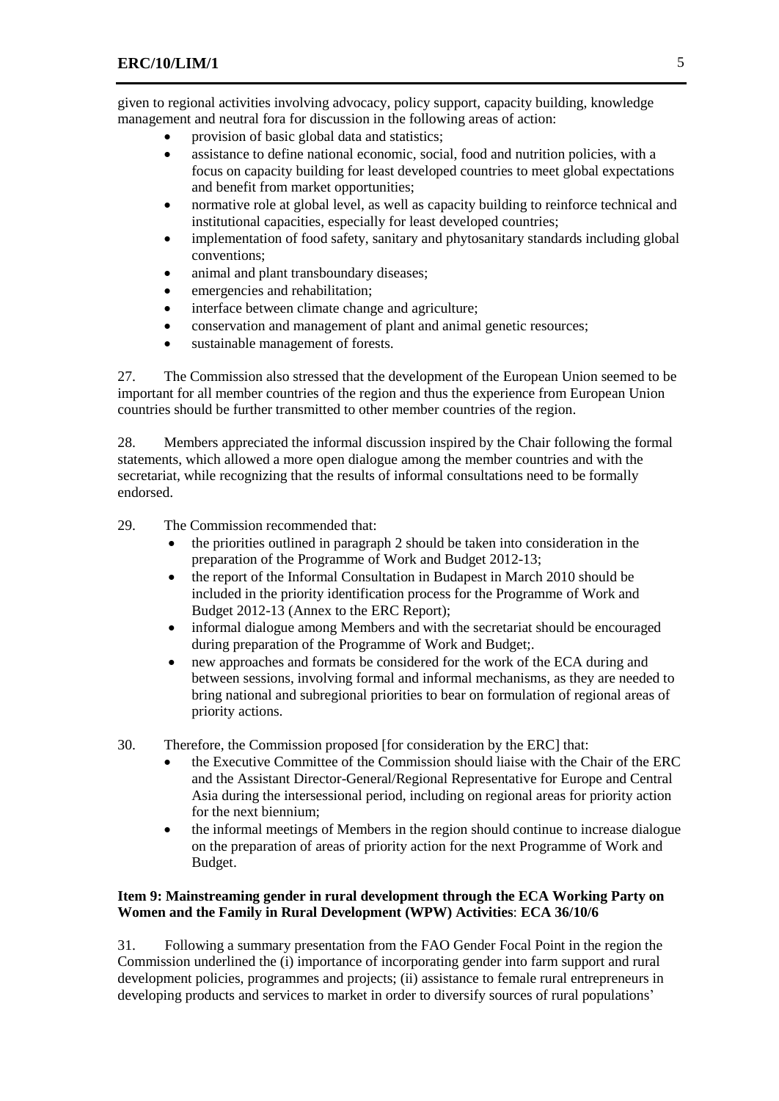given to regional activities involving advocacy, policy support, capacity building, knowledge management and neutral fora for discussion in the following areas of action:

- provision of basic global data and statistics;
- assistance to define national economic, social, food and nutrition policies, with a focus on capacity building for least developed countries to meet global expectations and benefit from market opportunities;
- normative role at global level, as well as capacity building to reinforce technical and institutional capacities, especially for least developed countries;
- implementation of food safety, sanitary and phytosanitary standards including global conventions;
- animal and plant transboundary diseases;
- emergencies and rehabilitation;
- interface between climate change and agriculture;
- conservation and management of plant and animal genetic resources;
- sustainable management of forests.

27. The Commission also stressed that the development of the European Union seemed to be important for all member countries of the region and thus the experience from European Union countries should be further transmitted to other member countries of the region.

28. Members appreciated the informal discussion inspired by the Chair following the formal statements, which allowed a more open dialogue among the member countries and with the secretariat, while recognizing that the results of informal consultations need to be formally endorsed.

29. The Commission recommended that:

- the priorities outlined in paragraph 2 should be taken into consideration in the preparation of the Programme of Work and Budget 2012-13;
- the report of the Informal Consultation in Budapest in March 2010 should be included in the priority identification process for the Programme of Work and Budget 2012-13 (Annex to the ERC Report);
- informal dialogue among Members and with the secretariat should be encouraged during preparation of the Programme of Work and Budget;.
- new approaches and formats be considered for the work of the ECA during and between sessions, involving formal and informal mechanisms, as they are needed to bring national and subregional priorities to bear on formulation of regional areas of priority actions.
- 30. Therefore, the Commission proposed [for consideration by the ERC] that:
	- the Executive Committee of the Commission should liaise with the Chair of the ERC and the Assistant Director-General/Regional Representative for Europe and Central Asia during the intersessional period, including on regional areas for priority action for the next biennium;
	- the informal meetings of Members in the region should continue to increase dialogue on the preparation of areas of priority action for the next Programme of Work and Budget.

#### **Item 9: Mainstreaming gender in rural development through the ECA Working Party on Women and the Family in Rural Development (WPW) Activities**: **ECA 36/10/6**

31. Following a summary presentation from the FAO Gender Focal Point in the region the Commission underlined the (i) importance of incorporating gender into farm support and rural development policies, programmes and projects; (ii) assistance to female rural entrepreneurs in developing products and services to market in order to diversify sources of rural populations'